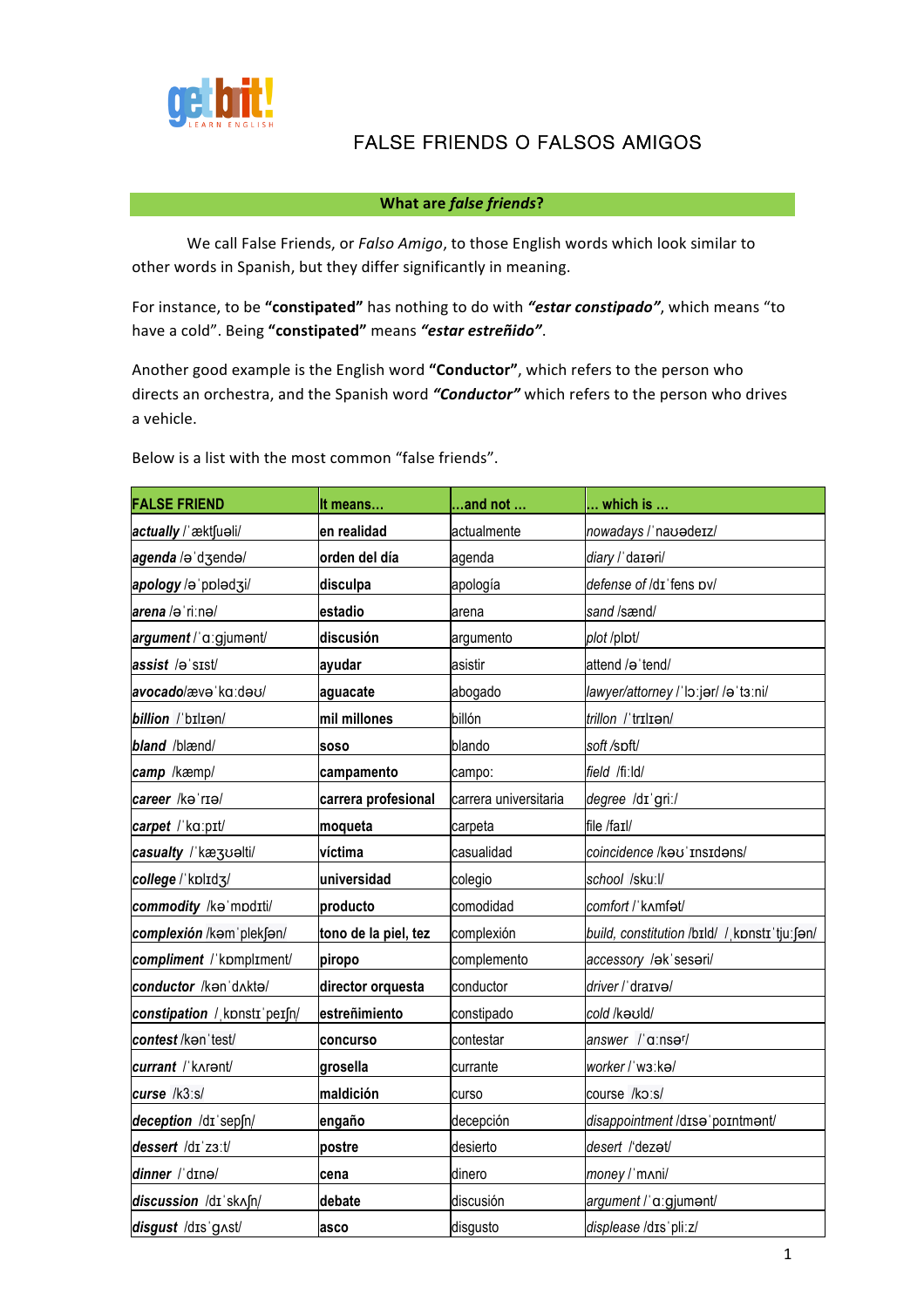

## **FALSE FRIENDS O FALSOS AMIGOS**

## **What are false friends?**

We call False Friends, or *Falso Amigo*, to those English words which look similar to other words in Spanish, but they differ significantly in meaning.

For instance, to be "constipated" has nothing to do with "estar constipado", which means "to have a cold". Being "constipated" means "estar estreñido".

Another good example is the English word "Conductor", which refers to the person who directs an orchestra, and the Spanish word "Conductor" which refers to the person who drives a vehicle.

Below is a list with the most common "false friends".

| <b>FALSE FRIEND</b>          | It means             | $\dots$ and not $\dots$ | $\ldots$ which is $\ldots$                     |
|------------------------------|----------------------|-------------------------|------------------------------------------------|
| actually / æktfuali/         | en realidad          | actualmente             | nowadays / nauadeiz/                           |
| agenda /əˈdʒendə/            | orden del día        | agenda                  | diary / dateri/                                |
| apology /əˈpplədʒi/          | disculpa             | apología                | defense of /dɪ'fens pv/                        |
| arena /əˈriːnə/              | estadio              | arena                   | sand /sænd/                                    |
| argument /'a:gjument/        | discusión            | argumento               | plot /plpt/                                    |
| assist /əˈsɪst/              | ayudar               | asistir                 | attend /ə 'tend/                               |
| avocado/æve ka:deu/          | aguacate             | abogado                 | lawyer/attorney / lo:jer/ / a t3:ni/           |
| billion /'bIlIan/            | mil millones         | billón                  | trillon /'trɪlɪən/                             |
| bland /blænd/                | <b>SOSO</b>          | blando                  | soft /spft/                                    |
| camp /kæmp/                  | campamento           | campo:                  | field /fiːld/                                  |
| career /kəˈrɪə/              | carrera profesional  | carrera universitaria   | degree /dɪ'griː/                               |
| carpet / ka:pɪt/             | moqueta              | carpeta                 | file /faɪl/                                    |
| casualty /ˈkæʒʊəlti/         | víctima              | casualidad              | coincidence /kau' Insidans/                    |
| college / kplId3/            | universidad          | colegio                 | school /skuːl/                                 |
| commodity /ka mpdIti/        | producto             | comodidad               | comfort /'kʌmfət/                              |
| complexión /kam'plek[an/     | tono de la piel, tez | complexión              | build, constitution /bɪld/ / kpnstɪ 'tjuː [ən/ |
| compliment / kompliment/     | piropo               | complemento             | accessory /ak'sesari/                          |
| conductor /kan'dAkta/        | director orquesta    | conductor               | driver / draxva/                               |
| constipation / konstr perfn/ | estreñimiento        | constipado              | cold /kauld/                                   |
| contest /kənˈtest/           | <b>concurso</b>      | contestar               | answer /'a:nsər/                               |
| currant / karent/            | grosella             | currante                | worker / w3:ka/                                |
| curse /k3:s/                 | maldición            | curso                   | course /ko:s/                                  |
| deception /dɪ sepʃn/         | engaño               | decepción               | disappointment /dɪsə'poɪntmənt/                |
| dessert /dɪ'z3:t/            | postre               | desierto                | desert /'dezat/                                |
| dinner /'dɪnə/               | cena                 | dinero                  | money / mnni/                                  |
| discussion /dɪ skʌʃn/        | debate               | discusión               | argument / a:gjumant/                          |
| disgust /dɪs'gʌst/           | asco                 | disgusto                | displease /dɪs'pliːz/                          |